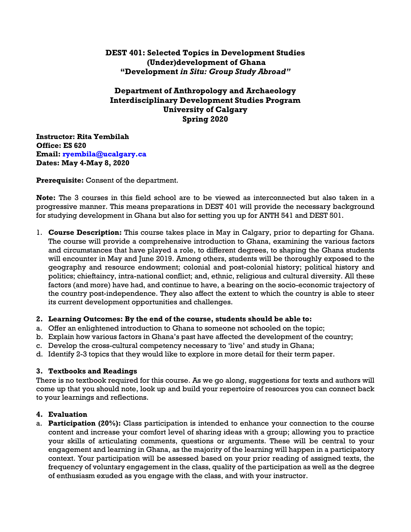# **DEST 401: Selected Topics in Development Studies (Under)development of Ghana "Development** *in Situ: Group Study Abroad"*

# **Department of Anthropology and Archaeology Interdisciplinary Development Studies Program University of Calgary Spring 2020**

**Instructor: Rita Yembilah Office: ES 620 Email: ryembila@ucalgary.ca Dates: May 4-May 8, 2020**

**Prerequisite:** Consent of the department.

**Note:** The 3 courses in this field school are to be viewed as interconnected but also taken in a progressive manner. This means preparations in DEST 401 will provide the necessary background for studying development in Ghana but also for setting you up for ANTH 541 and DEST 501.

1. **Course Description:** This course takes place in May in Calgary, prior to departing for Ghana. The course will provide a comprehensive introduction to Ghana, examining the various factors and circumstances that have played a role, to different degrees, to shaping the Ghana students will encounter in May and June 2019. Among others, students will be thoroughly exposed to the geography and resource endowment; colonial and post-colonial history; political history and politics; chieftaincy, intra-national conflict; and, ethnic, religious and cultural diversity. All these factors (and more) have had, and continue to have, a bearing on the socio-economic trajectory of the country post-independence. They also affect the extent to which the country is able to steer its current development opportunities and challenges.

## **2. Learning Outcomes: By the end of the course, students should be able to:**

- a. Offer an enlightened introduction to Ghana to someone not schooled on the topic;
- b. Explain how various factors in Ghana's past have affected the development of the country;
- c. Develop the cross-cultural competency necessary to 'live' and study in Ghana;
- d. Identify 2-3 topics that they would like to explore in more detail for their term paper.

#### **3. Textbooks and Readings**

There is no textbook required for this course. As we go along, suggestions for texts and authors will come up that you should note, look up and build your repertoire of resources you can connect back to your learnings and reflections.

#### **4. Evaluation**

a. **Participation (20%):** Class participation is intended to enhance your connection to the course content and increase your comfort level of sharing ideas with a group; allowing you to practice your skills of articulating comments, questions or arguments. These will be central to your engagement and learning in Ghana, as the majority of the learning will happen in a participatory context. Your participation will be assessed based on your prior reading of assigned texts, the frequency of voluntary engagement in the class, quality of the participation as well as the degree of enthusiasm exuded as you engage with the class, and with your instructor.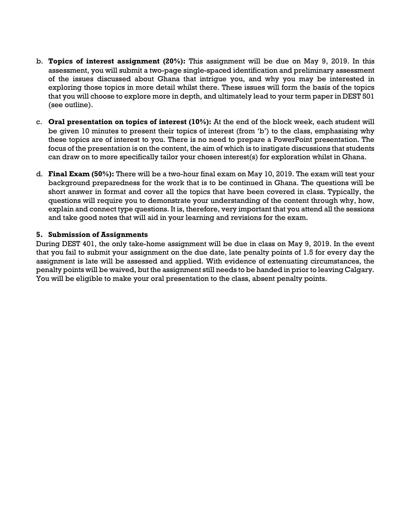- b. **Topics of interest assignment (20%):** This assignment will be due on May 9, 2019. In this assessment, you will submit a two-page single-spaced identification and preliminary assessment of the issues discussed about Ghana that intrigue you, and why you may be interested in exploring those topics in more detail whilst there. These issues will form the basis of the topics that you will choose to explore more in depth, and ultimately lead to your term paper in DEST 501 (see outline).
- c. **Oral presentation on topics of interest (10%):** At the end of the block week, each student will be given 10 minutes to present their topics of interest (from 'b') to the class, emphasising why these topics are of interest to you. There is no need to prepare a PowerPoint presentation. The focus of the presentation is on the content, the aim of which is to instigate discussions that students can draw on to more specifically tailor your chosen interest(s) for exploration whilst in Ghana.
- d. **Final Exam (50%):** There will be a two-hour final exam on May 10, 2019. The exam will test your background preparedness for the work that is to be continued in Ghana. The questions will be short answer in format and cover all the topics that have been covered in class. Typically, the questions will require you to demonstrate your understanding of the content through why, how, explain and connect type questions. It is, therefore, very important that you attend all the sessions and take good notes that will aid in your learning and revisions for the exam.

### **5. Submission of Assignments**

During DEST 401, the only take-home assignment will be due in class on May 9, 2019. In the event that you fail to submit your assignment on the due date, late penalty points of 1.5 for every day the assignment is late will be assessed and applied. With evidence of extenuating circumstances, the penalty points will be waived, but the assignment still needs to be handed in prior to leaving Calgary. You will be eligible to make your oral presentation to the class, absent penalty points.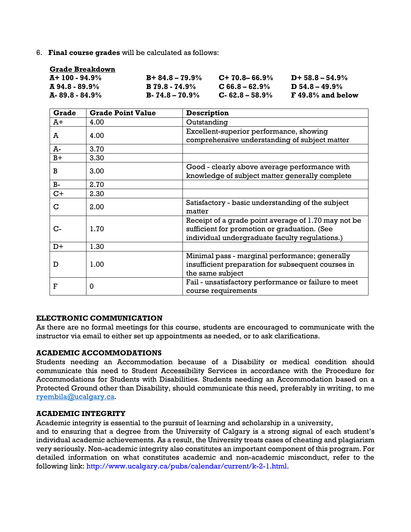6. **Final course grades** will be calculated as follows:

| <b>Grade Breakdown</b> |                       |                     |                     |
|------------------------|-----------------------|---------------------|---------------------|
| A+ 100 - 94.9%         | $B+84.8-79.9%$        | $C+70.8-66.9\%$     | $D+58.8-54.9\%$     |
| A 94.8 - 89.9%         | <b>B</b> 79.8 - 74.9% | $C$ 66.8 – 62.9%    | $D$ 54.8 – 49.9%    |
| A-89.8 - 84.9%         | $B - 74.8 - 70.9\%$   | $C - 62.8 - 58.9\%$ | $F$ 49.8% and below |

| <b>Grade</b> | <b>Grade Point Value</b> | <b>Description</b>                                                                                                                                    |  |
|--------------|--------------------------|-------------------------------------------------------------------------------------------------------------------------------------------------------|--|
| Ā+           | 4.00                     | Outstanding                                                                                                                                           |  |
| A            | 4.00                     | Excellent-superior performance, showing<br>comprehensive understanding of subject matter                                                              |  |
| A-           | 3.70                     |                                                                                                                                                       |  |
| $B+$         | 3.30                     |                                                                                                                                                       |  |
| в            | 3.00                     | Good - clearly above average performance with<br>knowledge of subject matter generally complete                                                       |  |
| $B-$         | 2.70                     |                                                                                                                                                       |  |
| $C+$         | 2.30                     |                                                                                                                                                       |  |
| C            | 2.00                     | Satisfactory - basic understanding of the subject<br>matter                                                                                           |  |
| $C-$         | 1.70                     | Receipt of a grade point average of 1.70 may not be<br>sufficient for promotion or graduation. (See<br>individual undergraduate faculty regulations.) |  |
| $D+$         | 1.30                     |                                                                                                                                                       |  |
| D            | 1.00                     | Minimal pass - marginal performance; generally<br>insufficient preparation for subsequent courses in<br>the same subject                              |  |
| F            | 0                        | Fail - unsatisfactory performance or failure to meet<br>course requirements                                                                           |  |

#### **ELECTRONIC COMMUNICATION**

As there are no formal meetings for this course, students are encouraged to communicate with the instructor via email to either set up appointments as needed, or to ask clarifications.

#### **ACADEMIC ACCOMMODATIONS**

Students needing an Accommodation because of a Disability or medical condition should communicate this need to Student Accessibility Services in accordance with the Procedure for Accommodations for Students with Disabilities. Students needing an Accommodation based on a Protected Ground other than Disability, should communicate this need, preferably in writing, to me [ryembila@ucalgary.ca.](mailto:ryembila@ucalgary.ca)

#### **ACADEMIC INTEGRITY**

Academic integrity is essential to the pursuit of learning and scholarship in a university,

and to ensuring that a degree from the University of Calgary is a strong signal of each student's individual academic achievements. As a result, the University treats cases of cheating and plagiarism very seriously. Non-academic integrity also constitutes an important component of this program. For detailed information on what constitutes academic and non-academic misconduct, refer to the following link: http://www.ucalgary.ca/pubs/calendar/current/k-2-1.html.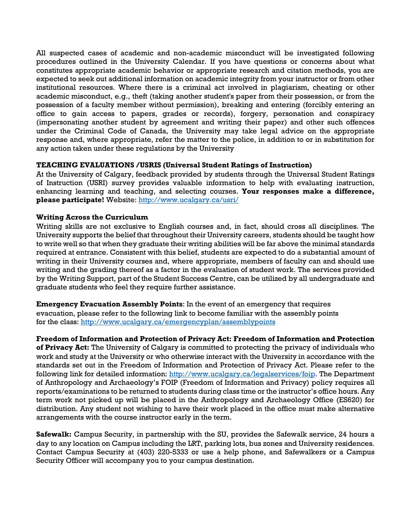All suspected cases of academic and non-academic misconduct will be investigated following procedures outlined in the University Calendar. If you have questions or concerns about what constitutes appropriate academic behavior or appropriate research and citation methods, you are expected to seek out additional information on academic integrity from your instructor or from other institutional resources. Where there is a criminal act involved in plagiarism, cheating or other academic misconduct, e.g., theft (taking another student's paper from their possession, or from the possession of a faculty member without permission), breaking and entering (forcibly entering an office to gain access to papers, grades or records), forgery, personation and conspiracy (impersonating another student by agreement and writing their paper) and other such offences under the Criminal Code of Canada, the University may take legal advice on the appropriate response and, where appropriate, refer the matter to the police, in addition to or in substitution for any action taken under these regulations by the University

## **TEACHING EVALUATIONS /USRIS (Universal Student Ratings of Instruction)**

At the University of Calgary, feedback provided by students through the Universal Student Ratings of Instruction (USRI) survey provides valuable information to help with evaluating instruction, enhancing learning and teaching, and selecting courses. **Your responses make a difference, please participate!** Website:<http://www.ucalgary.ca/usri/>

### **Writing Across the Curriculum**

Writing skills are not exclusive to English courses and, in fact, should cross all disciplines. The University supports the belief that throughout their University careers, students should be taught how to write well so that when they graduate their writing abilities will be far above the minimal standards required at entrance. Consistent with this belief, students are expected to do a substantial amount of writing in their University courses and, where appropriate, members of faculty can and should use writing and the grading thereof as a factor in the evaluation of student work. The services provided by the Writing Support, part of the Student Success Centre, can be utilized by all undergraduate and graduate students who feel they require further assistance.

**Emergency Evacuation Assembly Points**: In the event of an emergency that requires evacuation, please refer to the following link to become familiar with the assembly points for the class:<http://www.ucalgary.ca/emergencyplan/assemblypoints>

**Freedom of Information and Protection of Privacy Act: Freedom of Information and Protection** 

**of Privacy Act:** The University of Calgary is committed to protecting the privacy of individuals who work and study at the University or who otherwise interact with the University in accordance with the standards set out in the Freedom of Information and Protection of Privacy Act. Please refer to the following link for detailed information: [http://www.ucalgary.ca/legalservices/foip.](http://www.ucalgary.ca/legalservices/foip) The Department of Anthropology and Archaeology's FOIP (Freedom of Information and Privacy) policy requires all reports/examinations to be returned to students during class time or the instructor's office hours. Any term work not picked up will be placed in the Anthropology and Archaeology Office (ES620) for distribution. Any student not wishing to have their work placed in the office must make alternative arrangements with the course instructor early in the term.

**Safewalk:** Campus Security, in partnership with the SU, provides the Safewalk service, 24 hours a day to any location on Campus including the LRT, parking lots, bus zones and University residences. Contact Campus Security at (403) 220-5333 or use a help phone, and Safewalkers or a Campus Security Officer will accompany you to your campus destination.